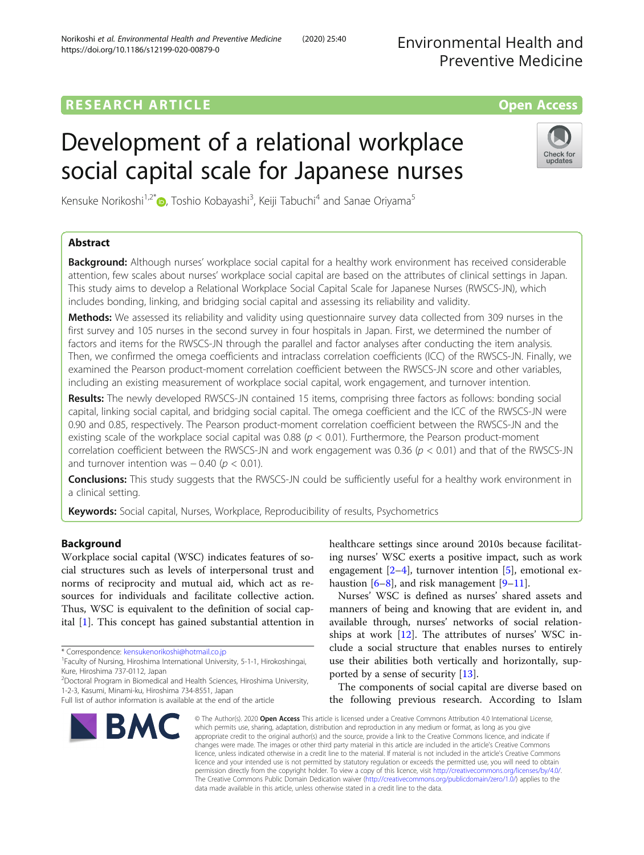Environmental Health and Preventive Medicine

## **RESEARCH ARTICLE Example 2014 12:30 The Contract of Contract ACCESS**

# Development of a relational workplace social capital scale for Japanese nurses



Kensuke Norikoshi<sup>1[,](http://orcid.org/0000-0002-4910-7664)2\*</sup>®, Toshio Kobayashi<sup>3</sup>, Keiji Tabuchi<sup>4</sup> and Sanae Oriyama<sup>5</sup>

### Abstract

**Background:** Although nurses' workplace social capital for a healthy work environment has received considerable attention, few scales about nurses' workplace social capital are based on the attributes of clinical settings in Japan. This study aims to develop a Relational Workplace Social Capital Scale for Japanese Nurses (RWSCS-JN), which includes bonding, linking, and bridging social capital and assessing its reliability and validity.

Methods: We assessed its reliability and validity using questionnaire survey data collected from 309 nurses in the first survey and 105 nurses in the second survey in four hospitals in Japan. First, we determined the number of factors and items for the RWSCS-JN through the parallel and factor analyses after conducting the item analysis. Then, we confirmed the omega coefficients and intraclass correlation coefficients (ICC) of the RWSCS-JN. Finally, we examined the Pearson product-moment correlation coefficient between the RWSCS-JN score and other variables, including an existing measurement of workplace social capital, work engagement, and turnover intention.

Results: The newly developed RWSCS-JN contained 15 items, comprising three factors as follows: bonding social capital, linking social capital, and bridging social capital. The omega coefficient and the ICC of the RWSCS-JN were 0.90 and 0.85, respectively. The Pearson product-moment correlation coefficient between the RWSCS-JN and the existing scale of the workplace social capital was 0.88 ( $p < 0.01$ ). Furthermore, the Pearson product-moment correlation coefficient between the RWSCS-JN and work engagement was 0.36  $(p < 0.01)$  and that of the RWSCS-JN and turnover intention was  $-0.40$  ( $p < 0.01$ ).

**Conclusions:** This study suggests that the RWSCS-JN could be sufficiently useful for a healthy work environment in a clinical setting.

Keywords: Social capital, Nurses, Workplace, Reproducibility of results, Psychometrics

### Background

Workplace social capital (WSC) indicates features of social structures such as levels of interpersonal trust and norms of reciprocity and mutual aid, which act as resources for individuals and facilitate collective action. Thus, WSC is equivalent to the definition of social capital [\[1](#page-6-0)]. This concept has gained substantial attention in

\* Correspondence: [kensukenorikoshi@hotmail.co.jp](mailto:kensukenorikoshi@hotmail.co.jp) <sup>1</sup>

<sup>1</sup> Faculty of Nursing, Hiroshima International University, 5-1-1, Hirokoshingai, Kure, Hiroshima 737-0112, Japan

<sup>2</sup>Doctoral Program in Biomedical and Health Sciences, Hiroshima University, 1-2-3, Kasumi, Minami-ku, Hiroshima 734-8551, Japan

Full list of author information is available at the end of the article



healthcare settings since around 2010s because facilitating nurses' WSC exerts a positive impact, such as work engagement  $[2-4]$  $[2-4]$  $[2-4]$  $[2-4]$  $[2-4]$ , turnover intention  $[5]$  $[5]$ , emotional exhaustion  $[6-8]$  $[6-8]$  $[6-8]$  $[6-8]$ , and risk management  $[9-11]$  $[9-11]$  $[9-11]$  $[9-11]$  $[9-11]$ .

Nurses' WSC is defined as nurses' shared assets and manners of being and knowing that are evident in, and available through, nurses' networks of social relationships at work [[12\]](#page-6-0). The attributes of nurses' WSC include a social structure that enables nurses to entirely use their abilities both vertically and horizontally, supported by a sense of security [[13](#page-6-0)].

The components of social capital are diverse based on the following previous research. According to Islam

© The Author(s), 2020 **Open Access** This article is licensed under a Creative Commons Attribution 4.0 International License, which permits use, sharing, adaptation, distribution and reproduction in any medium or format, as long as you give appropriate credit to the original author(s) and the source, provide a link to the Creative Commons licence, and indicate if changes were made. The images or other third party material in this article are included in the article's Creative Commons licence, unless indicated otherwise in a credit line to the material. If material is not included in the article's Creative Commons licence and your intended use is not permitted by statutory regulation or exceeds the permitted use, you will need to obtain permission directly from the copyright holder. To view a copy of this licence, visit [http://creativecommons.org/licenses/by/4.0/.](http://creativecommons.org/licenses/by/4.0/) The Creative Commons Public Domain Dedication waiver [\(http://creativecommons.org/publicdomain/zero/1.0/](http://creativecommons.org/publicdomain/zero/1.0/)) applies to the data made available in this article, unless otherwise stated in a credit line to the data.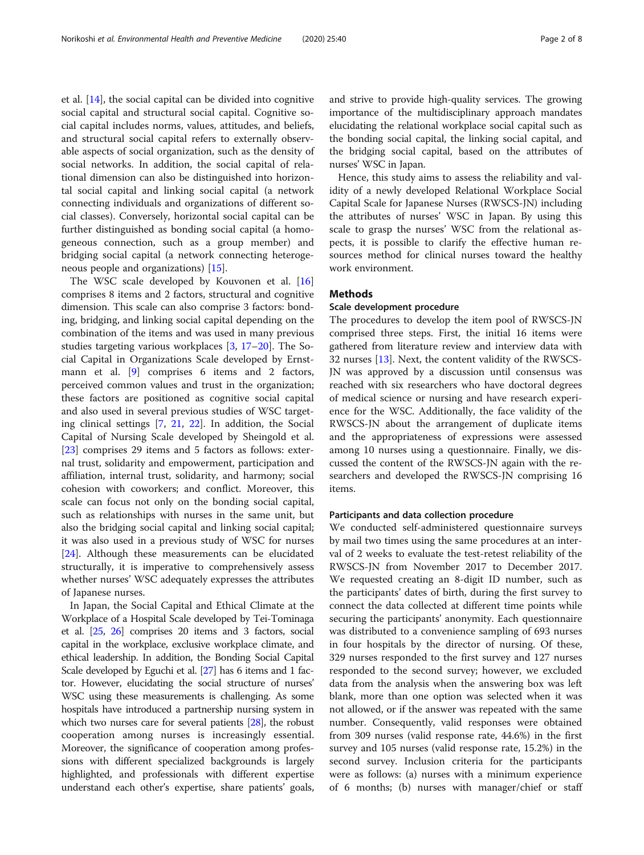et al. [[14](#page-6-0)], the social capital can be divided into cognitive social capital and structural social capital. Cognitive social capital includes norms, values, attitudes, and beliefs, and structural social capital refers to externally observable aspects of social organization, such as the density of social networks. In addition, the social capital of relational dimension can also be distinguished into horizontal social capital and linking social capital (a network connecting individuals and organizations of different social classes). Conversely, horizontal social capital can be further distinguished as bonding social capital (a homogeneous connection, such as a group member) and bridging social capital (a network connecting heterogeneous people and organizations) [\[15](#page-6-0)].

The WSC scale developed by Kouvonen et al. [[16](#page-6-0)] comprises 8 items and 2 factors, structural and cognitive dimension. This scale can also comprise 3 factors: bonding, bridging, and linking social capital depending on the combination of the items and was used in many previous studies targeting various workplaces [\[3](#page-6-0), [17](#page-7-0)–[20](#page-7-0)]. The Social Capital in Organizations Scale developed by Ernst-mann et al. [[9](#page-6-0)] comprises 6 items and 2 factors, perceived common values and trust in the organization; these factors are positioned as cognitive social capital and also used in several previous studies of WSC targeting clinical settings [[7](#page-6-0), [21](#page-7-0), [22\]](#page-7-0). In addition, the Social Capital of Nursing Scale developed by Sheingold et al. [[23\]](#page-7-0) comprises 29 items and 5 factors as follows: external trust, solidarity and empowerment, participation and affiliation, internal trust, solidarity, and harmony; social cohesion with coworkers; and conflict. Moreover, this scale can focus not only on the bonding social capital, such as relationships with nurses in the same unit, but also the bridging social capital and linking social capital; it was also used in a previous study of WSC for nurses [[24\]](#page-7-0). Although these measurements can be elucidated structurally, it is imperative to comprehensively assess whether nurses' WSC adequately expresses the attributes of Japanese nurses.

In Japan, the Social Capital and Ethical Climate at the Workplace of a Hospital Scale developed by Tei-Tominaga et al. [\[25](#page-7-0), [26\]](#page-7-0) comprises 20 items and 3 factors, social capital in the workplace, exclusive workplace climate, and ethical leadership. In addition, the Bonding Social Capital Scale developed by Eguchi et al. [\[27](#page-7-0)] has 6 items and 1 factor. However, elucidating the social structure of nurses' WSC using these measurements is challenging. As some hospitals have introduced a partnership nursing system in which two nurses care for several patients [[28](#page-7-0)], the robust cooperation among nurses is increasingly essential. Moreover, the significance of cooperation among professions with different specialized backgrounds is largely highlighted, and professionals with different expertise understand each other's expertise, share patients' goals, and strive to provide high-quality services. The growing importance of the multidisciplinary approach mandates elucidating the relational workplace social capital such as the bonding social capital, the linking social capital, and the bridging social capital, based on the attributes of nurses' WSC in Japan.

Hence, this study aims to assess the reliability and validity of a newly developed Relational Workplace Social Capital Scale for Japanese Nurses (RWSCS-JN) including the attributes of nurses' WSC in Japan. By using this scale to grasp the nurses' WSC from the relational aspects, it is possible to clarify the effective human resources method for clinical nurses toward the healthy work environment.

#### **Methods**

#### Scale development procedure

The procedures to develop the item pool of RWSCS-JN comprised three steps. First, the initial 16 items were gathered from literature review and interview data with 32 nurses [\[13\]](#page-6-0). Next, the content validity of the RWSCS-JN was approved by a discussion until consensus was reached with six researchers who have doctoral degrees of medical science or nursing and have research experience for the WSC. Additionally, the face validity of the RWSCS-JN about the arrangement of duplicate items and the appropriateness of expressions were assessed among 10 nurses using a questionnaire. Finally, we discussed the content of the RWSCS-JN again with the researchers and developed the RWSCS-JN comprising 16 items.

#### Participants and data collection procedure

We conducted self-administered questionnaire surveys by mail two times using the same procedures at an interval of 2 weeks to evaluate the test-retest reliability of the RWSCS-JN from November 2017 to December 2017. We requested creating an 8-digit ID number, such as the participants' dates of birth, during the first survey to connect the data collected at different time points while securing the participants' anonymity. Each questionnaire was distributed to a convenience sampling of 693 nurses in four hospitals by the director of nursing. Of these, 329 nurses responded to the first survey and 127 nurses responded to the second survey; however, we excluded data from the analysis when the answering box was left blank, more than one option was selected when it was not allowed, or if the answer was repeated with the same number. Consequently, valid responses were obtained from 309 nurses (valid response rate, 44.6%) in the first survey and 105 nurses (valid response rate, 15.2%) in the second survey. Inclusion criteria for the participants were as follows: (a) nurses with a minimum experience of 6 months; (b) nurses with manager/chief or staff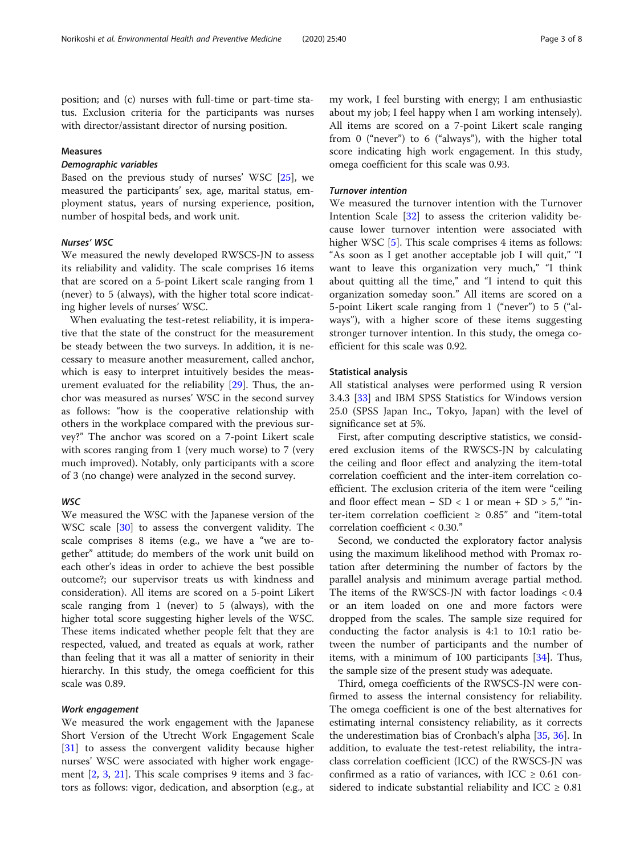position; and (c) nurses with full-time or part-time status. Exclusion criteria for the participants was nurses with director/assistant director of nursing position.

#### Measures

Based on the previous study of nurses' WSC [\[25](#page-7-0)], we measured the participants' sex, age, marital status, employment status, years of nursing experience, position, number of hospital beds, and work unit.

#### Nurses' WSC

We measured the newly developed RWSCS-JN to assess its reliability and validity. The scale comprises 16 items that are scored on a 5-point Likert scale ranging from 1 (never) to 5 (always), with the higher total score indicating higher levels of nurses' WSC.

When evaluating the test-retest reliability, it is imperative that the state of the construct for the measurement be steady between the two surveys. In addition, it is necessary to measure another measurement, called anchor, which is easy to interpret intuitively besides the measurement evaluated for the reliability [\[29](#page-7-0)]. Thus, the anchor was measured as nurses' WSC in the second survey as follows: "how is the cooperative relationship with others in the workplace compared with the previous survey?" The anchor was scored on a 7-point Likert scale with scores ranging from 1 (very much worse) to 7 (very much improved). Notably, only participants with a score of 3 (no change) were analyzed in the second survey.

### **WSC**

We measured the WSC with the Japanese version of the WSC scale [[30](#page-7-0)] to assess the convergent validity. The scale comprises 8 items (e.g., we have a "we are together" attitude; do members of the work unit build on each other's ideas in order to achieve the best possible outcome?; our supervisor treats us with kindness and consideration). All items are scored on a 5-point Likert scale ranging from 1 (never) to 5 (always), with the higher total score suggesting higher levels of the WSC. These items indicated whether people felt that they are respected, valued, and treated as equals at work, rather than feeling that it was all a matter of seniority in their hierarchy. In this study, the omega coefficient for this scale was 0.89.

We measured the work engagement with the Japanese Short Version of the Utrecht Work Engagement Scale [[31\]](#page-7-0) to assess the convergent validity because higher nurses' WSC were associated with higher work engagement [[2,](#page-6-0) [3](#page-6-0), [21\]](#page-7-0). This scale comprises 9 items and 3 factors as follows: vigor, dedication, and absorption (e.g., at my work, I feel bursting with energy; I am enthusiastic about my job; I feel happy when I am working intensely). All items are scored on a 7-point Likert scale ranging from 0 ("never") to 6 ("always"), with the higher total score indicating high work engagement. In this study, omega coefficient for this scale was 0.93.

We measured the turnover intention with the Turnover Intention Scale [[32\]](#page-7-0) to assess the criterion validity because lower turnover intention were associated with higher WSC [[5\]](#page-6-0). This scale comprises 4 items as follows: "As soon as I get another acceptable job I will quit," "I want to leave this organization very much," "I think about quitting all the time," and "I intend to quit this organization someday soon." All items are scored on a 5-point Likert scale ranging from 1 ("never") to 5 ("always"), with a higher score of these items suggesting stronger turnover intention. In this study, the omega coefficient for this scale was 0.92.

#### Statistical analysis

All statistical analyses were performed using R version 3.4.3 [[33](#page-7-0)] and IBM SPSS Statistics for Windows version 25.0 (SPSS Japan Inc., Tokyo, Japan) with the level of significance set at 5%.

First, after computing descriptive statistics, we considered exclusion items of the RWSCS-JN by calculating the ceiling and floor effect and analyzing the item-total correlation coefficient and the inter-item correlation coefficient. The exclusion criteria of the item were "ceiling and floor effect mean − SD < 1 or mean + SD > 5," "inter-item correlation coefficient  $\geq 0.85$ " and "item-total correlation coefficient < 0.30."

Second, we conducted the exploratory factor analysis using the maximum likelihood method with Promax rotation after determining the number of factors by the parallel analysis and minimum average partial method. The items of the RWSCS-JN with factor loadings  $< 0.4$ or an item loaded on one and more factors were dropped from the scales. The sample size required for conducting the factor analysis is 4:1 to 10:1 ratio between the number of participants and the number of items, with a minimum of 100 participants [[34\]](#page-7-0). Thus, the sample size of the present study was adequate.

Third, omega coefficients of the RWSCS-JN were confirmed to assess the internal consistency for reliability. The omega coefficient is one of the best alternatives for estimating internal consistency reliability, as it corrects the underestimation bias of Cronbach's alpha [[35,](#page-7-0) [36\]](#page-7-0). In addition, to evaluate the test-retest reliability, the intraclass correlation coefficient (ICC) of the RWSCS-JN was confirmed as a ratio of variances, with ICC  $\geq 0.61$  considered to indicate substantial reliability and ICC  $\geq 0.81$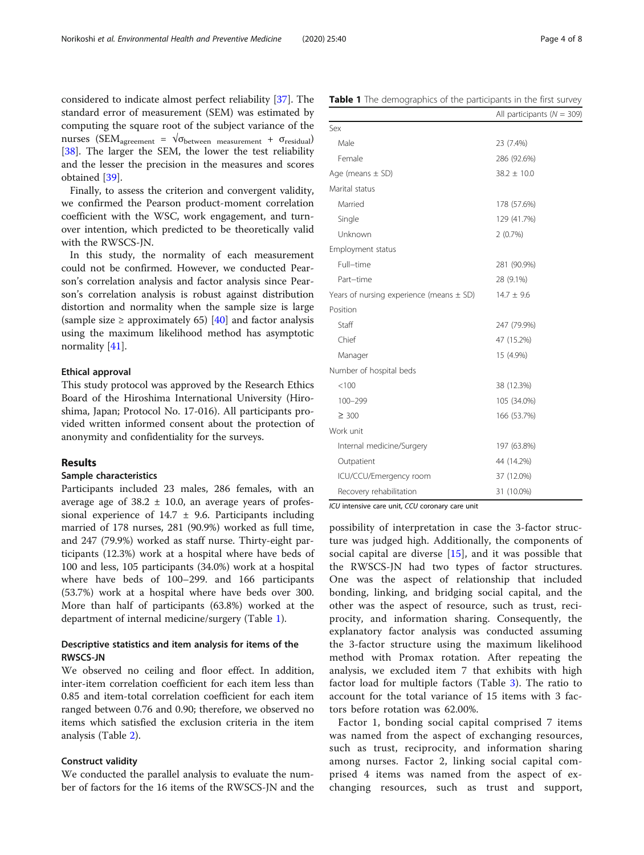considered to indicate almost perfect reliability [\[37\]](#page-7-0). The standard error of measurement (SEM) was estimated by computing the square root of the subject variance of the nurses (SEM<sub>agreement</sub> =  $\sqrt{\sigma_{\text{between measurement}}} + \sigma_{\text{residual}}$ ) [[38\]](#page-7-0). The larger the SEM, the lower the test reliability and the lesser the precision in the measures and scores obtained [\[39\]](#page-7-0).

Finally, to assess the criterion and convergent validity, we confirmed the Pearson product-moment correlation coefficient with the WSC, work engagement, and turnover intention, which predicted to be theoretically valid with the RWSCS-JN.

In this study, the normality of each measurement could not be confirmed. However, we conducted Pearson's correlation analysis and factor analysis since Pearson's correlation analysis is robust against distribution distortion and normality when the sample size is large (sample size  $\geq$  approximately 65) [\[40](#page-7-0)] and factor analysis using the maximum likelihood method has asymptotic normality [\[41](#page-7-0)].

#### Ethical approval

This study protocol was approved by the Research Ethics Board of the Hiroshima International University (Hiroshima, Japan; Protocol No. 17-016). All participants provided written informed consent about the protection of anonymity and confidentiality for the surveys.

#### Results

#### Sample characteristics

Participants included 23 males, 286 females, with an average age of  $38.2 \pm 10.0$ , an average years of professional experience of  $14.7 \pm 9.6$ . Participants including married of 178 nurses, 281 (90.9%) worked as full time, and 247 (79.9%) worked as staff nurse. Thirty-eight participants (12.3%) work at a hospital where have beds of 100 and less, 105 participants (34.0%) work at a hospital where have beds of 100–299. and 166 participants (53.7%) work at a hospital where have beds over 300. More than half of participants (63.8%) worked at the department of internal medicine/surgery (Table 1).

#### Descriptive statistics and item analysis for items of the RWSCS-JN

We observed no ceiling and floor effect. In addition, inter-item correlation coefficient for each item less than 0.85 and item-total correlation coefficient for each item ranged between 0.76 and 0.90; therefore, we observed no items which satisfied the exclusion criteria in the item analysis (Table [2\)](#page-4-0).

#### Construct validity

We conducted the parallel analysis to evaluate the number of factors for the 16 items of the RWSCS-JN and the

| Marital status                               |                |
|----------------------------------------------|----------------|
| Married                                      | 178 (57.6%)    |
| Single                                       | 129 (41.7%)    |
| Unknown                                      | 2(0.7%)        |
| Employment status                            |                |
| Full-time                                    | 281 (90.9%)    |
| Part-time                                    | 28 (9.1%)      |
| Years of nursing experience (means $\pm$ SD) | $14.7 \pm 9.6$ |
| Position                                     |                |
| Staff                                        | 247 (79.9%)    |
| Chief                                        | 47 (15.2%)     |
| Manager                                      | 15 (4.9%)      |
| Number of hospital beds                      |                |
| < 100                                        | 38 (12.3%)     |
| 100-299                                      | 105 (34.0%)    |
| $\geq 300$                                   | 166 (53.7%)    |
| Work unit                                    |                |
| Internal medicine/Surgery                    | 197 (63.8%)    |
| Outpatient                                   | 44 (14.2%)     |
| ICU/CCU/Emergency room                       | 37 (12.0%)     |
| Recovery rehabilitation                      | 31 (10.0%)     |

ICU intensive care unit, CCU coronary care unit

possibility of interpretation in case the 3-factor structure was judged high. Additionally, the components of social capital are diverse [[15\]](#page-6-0), and it was possible that the RWSCS-JN had two types of factor structures. One was the aspect of relationship that included bonding, linking, and bridging social capital, and the other was the aspect of resource, such as trust, reciprocity, and information sharing. Consequently, the explanatory factor analysis was conducted assuming the 3-factor structure using the maximum likelihood method with Promax rotation. After repeating the analysis, we excluded item 7 that exhibits with high factor load for multiple factors (Table [3\)](#page-5-0). The ratio to account for the total variance of 15 items with 3 factors before rotation was 62.00%.

Factor 1, bonding social capital comprised 7 items was named from the aspect of exchanging resources, such as trust, reciprocity, and information sharing among nurses. Factor 2, linking social capital comprised 4 items was named from the aspect of exchanging resources, such as trust and support,

Table 1 The demographics of the participants in the first survey

Male 23 (7.4%) Female 286 (92.6%) Age (means  $\pm$  SD) 38.2  $\pm$  10.0

 $S_{\rho x}$ 

All participants ( $N = 309$ )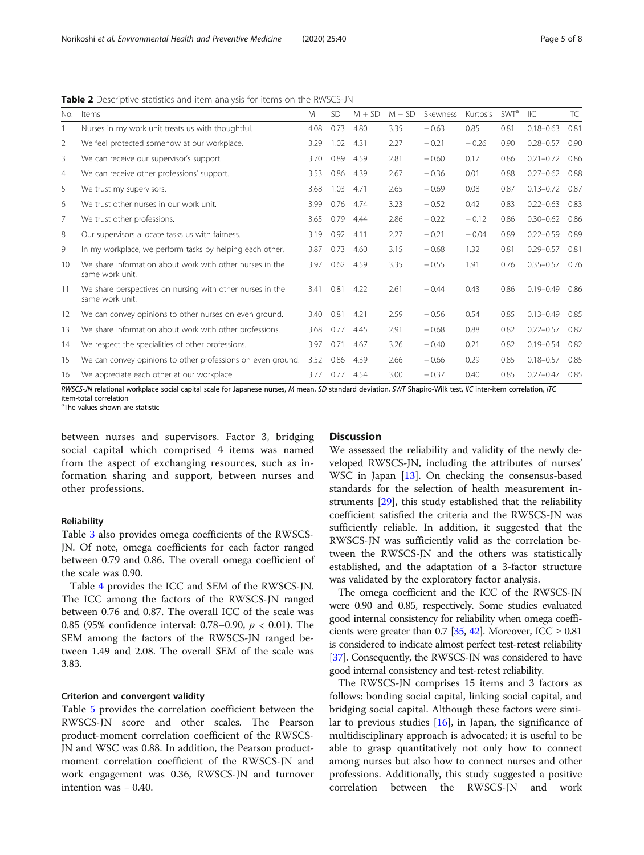<span id="page-4-0"></span>Table 2 Descriptive statistics and item analysis for items on the RWSCS-JN

| No.            | Items                                                                        | M    | SD.  | $M + SD$ | $M - SD$ | Skewness | Kurtosis | <b>SWT</b> <sup>a</sup> | IIC           | ITC  |
|----------------|------------------------------------------------------------------------------|------|------|----------|----------|----------|----------|-------------------------|---------------|------|
|                | Nurses in my work unit treats us with thoughtful.                            | 4.08 | 0.73 | 4.80     | 3.35     | $-0.63$  | 0.85     | 0.81                    | $0.18 - 0.63$ | 0.81 |
| 2              | We feel protected somehow at our workplace.                                  | 3.29 | 1.02 | 4.31     | 2.27     | $-0.21$  | $-0.26$  | 0.90                    | $0.28 - 0.57$ | 0.90 |
| 3              | We can receive our supervisor's support.                                     | 3.70 | 0.89 | 4.59     | 2.81     | $-0.60$  | 0.17     | 0.86                    | $0.21 - 0.72$ | 0.86 |
| $\overline{4}$ | We can receive other professions' support.                                   | 3.53 | 0.86 | 4.39     | 2.67     | $-0.36$  | 0.01     | 0.88                    | $0.27 - 0.62$ | 0.88 |
| 5              | We trust my supervisors.                                                     | 3.68 | 1.03 | 4.71     | 2.65     | $-0.69$  | 0.08     | 0.87                    | $0.13 - 0.72$ | 0.87 |
| 6              | We trust other nurses in our work unit.                                      | 3.99 | 0.76 | 4.74     | 3.23     | $-0.52$  | 0.42     | 0.83                    | $0.22 - 0.63$ | 0.83 |
| $\overline{7}$ | We trust other professions.                                                  | 3.65 | 0.79 | 4.44     | 2.86     | $-0.22$  | $-0.12$  | 0.86                    | $0.30 - 0.62$ | 0.86 |
| 8              | Our supervisors allocate tasks us with fairness.                             | 3.19 | 0.92 | 4.11     | 2.27     | $-0.21$  | $-0.04$  | 0.89                    | $0.22 - 0.59$ | 0.89 |
| 9              | In my workplace, we perform tasks by helping each other.                     | 3.87 | 0.73 | 4.60     | 3.15     | $-0.68$  | 1.32     | 0.81                    | $0.29 - 0.57$ | 0.81 |
| 10             | We share information about work with other nurses in the<br>same work unit.  | 3.97 | 0.62 | 4.59     | 3.35     | $-0.55$  | 1.91     | 0.76                    | $0.35 - 0.57$ | 0.76 |
| 11             | We share perspectives on nursing with other nurses in the<br>same work unit. | 3.41 | 0.81 | 4.22     | 2.61     | $-0.44$  | 0.43     | 0.86                    | $0.19 - 0.49$ | 0.86 |
| 12             | We can convey opinions to other nurses on even ground.                       | 3.40 | 0.81 | 4.21     | 2.59     | $-0.56$  | 0.54     | 0.85                    | $0.13 - 0.49$ | 0.85 |
| 13             | We share information about work with other professions.                      | 3.68 | 0.77 | 4.45     | 2.91     | $-0.68$  | 0.88     | 0.82                    | $0.22 - 0.57$ | 0.82 |
| 14             | We respect the specialities of other professions.                            | 3.97 | 0.71 | 4.67     | 3.26     | $-0.40$  | 0.21     | 0.82                    | $0.19 - 0.54$ | 0.82 |
| 15             | We can convey opinions to other professions on even ground.                  | 3.52 | 0.86 | 4.39     | 2.66     | $-0.66$  | 0.29     | 0.85                    | $0.18 - 0.57$ | 0.85 |
| 16             | We appreciate each other at our workplace.                                   | 3.77 | 0.77 | 4.54     | 3.00     | $-0.37$  | 0.40     | 0.85                    | $0.27 - 0.47$ | 0.85 |

RWSCS-JN relational workplace social capital scale for Japanese nurses, M mean, SD standard deviation, SWT Shapiro-Wilk test, IIC inter-item correlation, ITC item-total correlation

<sup>a</sup>The values shown are statistic

between nurses and supervisors. Factor 3, bridging social capital which comprised 4 items was named from the aspect of exchanging resources, such as information sharing and support, between nurses and other professions.

#### Reliability

Table [3](#page-5-0) also provides omega coefficients of the RWSCS-JN. Of note, omega coefficients for each factor ranged between 0.79 and 0.86. The overall omega coefficient of the scale was 0.90.

Table [4](#page-5-0) provides the ICC and SEM of the RWSCS-JN. The ICC among the factors of the RWSCS-JN ranged between 0.76 and 0.87. The overall ICC of the scale was 0.85 (95% confidence interval: 0.78–0.90,  $p < 0.01$ ). The SEM among the factors of the RWSCS-JN ranged between 1.49 and 2.08. The overall SEM of the scale was 3.83.

#### Criterion and convergent validity

Table [5](#page-5-0) provides the correlation coefficient between the RWSCS-JN score and other scales. The Pearson product-moment correlation coefficient of the RWSCS-JN and WSC was 0.88. In addition, the Pearson productmoment correlation coefficient of the RWSCS-JN and work engagement was 0.36, RWSCS-JN and turnover intention was − 0.40.

#### **Discussion**

We assessed the reliability and validity of the newly developed RWSCS-JN, including the attributes of nurses' WSC in Japan [\[13](#page-6-0)]. On checking the consensus-based standards for the selection of health measurement instruments [[29](#page-7-0)], this study established that the reliability coefficient satisfied the criteria and the RWSCS-JN was sufficiently reliable. In addition, it suggested that the RWSCS-JN was sufficiently valid as the correlation between the RWSCS-JN and the others was statistically established, and the adaptation of a 3-factor structure was validated by the exploratory factor analysis.

The omega coefficient and the ICC of the RWSCS-JN were 0.90 and 0.85, respectively. Some studies evaluated good internal consistency for reliability when omega coeffi-cients were greater than 0.7 [\[35](#page-7-0), [42\]](#page-7-0). Moreover, ICC  $\geq 0.81$ is considered to indicate almost perfect test-retest reliability [[37](#page-7-0)]. Consequently, the RWSCS-JN was considered to have good internal consistency and test-retest reliability.

The RWSCS-JN comprises 15 items and 3 factors as follows: bonding social capital, linking social capital, and bridging social capital. Although these factors were similar to previous studies [\[16](#page-6-0)], in Japan, the significance of multidisciplinary approach is advocated; it is useful to be able to grasp quantitatively not only how to connect among nurses but also how to connect nurses and other professions. Additionally, this study suggested a positive correlation between the RWSCS-JN and work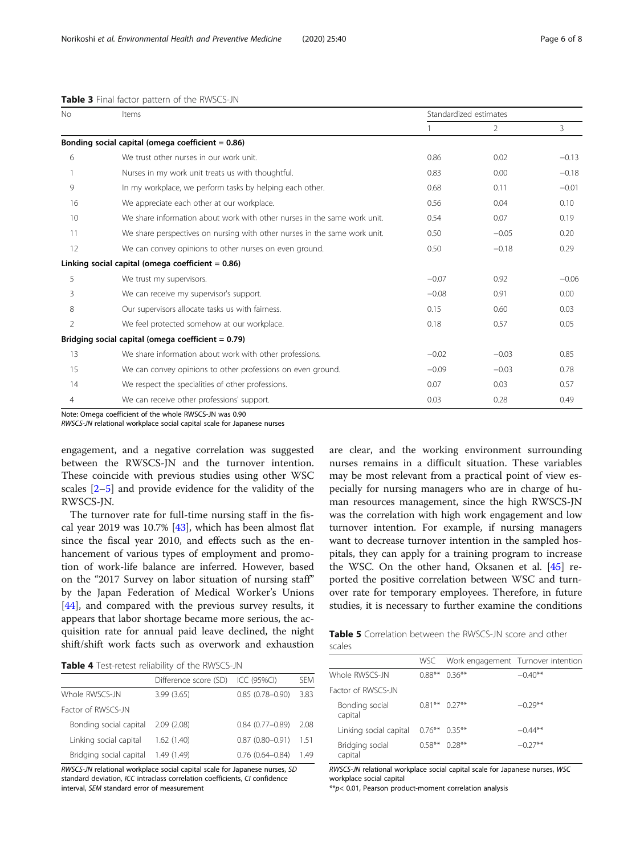| <b>No</b>      | Items                                                                     |         | Standardized estimates |         |  |  |
|----------------|---------------------------------------------------------------------------|---------|------------------------|---------|--|--|
|                |                                                                           |         | $\overline{2}$         | 3       |  |  |
|                | Bonding social capital (omega coefficient $= 0.86$ )                      |         |                        |         |  |  |
| 6              | We trust other nurses in our work unit.                                   | 0.86    | 0.02                   | $-0.13$ |  |  |
|                | Nurses in my work unit treats us with thoughtful.                         | 0.83    | 0.00                   | $-0.18$ |  |  |
| 9              | In my workplace, we perform tasks by helping each other.                  | 0.68    | 0.11                   | $-0.01$ |  |  |
| 16             | We appreciate each other at our workplace.                                | 0.56    | 0.04                   | 0.10    |  |  |
| 10             | We share information about work with other nurses in the same work unit.  | 0.54    | 0.07                   | 0.19    |  |  |
| 11             | We share perspectives on nursing with other nurses in the same work unit. | 0.50    | $-0.05$                | 0.20    |  |  |
| 12             | We can convey opinions to other nurses on even ground.                    | 0.50    | $-0.18$                | 0.29    |  |  |
|                | Linking social capital (omega coefficient $= 0.86$ )                      |         |                        |         |  |  |
| 5              | We trust my supervisors.                                                  | $-0.07$ | 0.92                   | $-0.06$ |  |  |
| 3              | We can receive my supervisor's support.                                   | $-0.08$ | 0.91                   | 0.00    |  |  |
| 8              | Our supervisors allocate tasks us with fairness.                          |         | 0.60                   | 0.03    |  |  |
| $\overline{2}$ | We feel protected somehow at our workplace.                               | 0.18    | 0.57                   | 0.05    |  |  |
|                | Bridging social capital (omega coefficient $= 0.79$ )                     |         |                        |         |  |  |
| 13             | We share information about work with other professions.                   | $-0.02$ | $-0.03$                | 0.85    |  |  |
| 15             | We can convey opinions to other professions on even ground.               | $-0.09$ | $-0.03$                | 0.78    |  |  |
| 14             | We respect the specialities of other professions.                         | 0.07    | 0.03                   | 0.57    |  |  |
| 4              | We can receive other professions' support.                                | 0.03    | 0.28                   | 0.49    |  |  |

#### <span id="page-5-0"></span>Table 3 Final factor pattern of the RWSCS-JN

Note: Omega coefficient of the whole RWSCS-JN was 0.90

RWSCS-JN relational workplace social capital scale for Japanese nurses

engagement, and a negative correlation was suggested between the RWSCS-JN and the turnover intention. These coincide with previous studies using other WSC scales [[2](#page-6-0)–[5\]](#page-6-0) and provide evidence for the validity of the RWSCS-JN.

The turnover rate for full-time nursing staff in the fiscal year 2019 was 10.7% [\[43](#page-7-0)], which has been almost flat since the fiscal year 2010, and effects such as the enhancement of various types of employment and promotion of work-life balance are inferred. However, based on the "2017 Survey on labor situation of nursing staff" by the Japan Federation of Medical Worker's Unions [[44\]](#page-7-0), and compared with the previous survey results, it appears that labor shortage became more serious, the acquisition rate for annual paid leave declined, the night shift/shift work facts such as overwork and exhaustion

Table 4 Test-retest reliability of the RWSCS-JN

|                         | Difference score (SD) | ICC (95%CI)         | SFM  |
|-------------------------|-----------------------|---------------------|------|
| Whole RWSCS-JN          | 3.99(3.65)            | $0.85(0.78 - 0.90)$ | 3.83 |
| Factor of RWSCS-JN      |                       |                     |      |
| Bonding social capital  | 2.09(2.08)            | $0.84(0.77-0.89)$   | 2.08 |
| Linking social capital  | 1.62(1.40)            | $0.87(0.80 - 0.91)$ | 1.51 |
| Bridging social capital | 1.49 (1.49)           | $0.76(0.64 - 0.84)$ | 1.49 |

RWSCS-JN relational workplace social capital scale for Japanese nurses, SD standard deviation, ICC intraclass correlation coefficients, CI confidence interval, SEM standard error of measurement

are clear, and the working environment surrounding nurses remains in a difficult situation. These variables may be most relevant from a practical point of view especially for nursing managers who are in charge of human resources management, since the high RWSCS-JN was the correlation with high work engagement and low turnover intention. For example, if nursing managers want to decrease turnover intention in the sampled hospitals, they can apply for a training program to increase the WSC. On the other hand, Oksanen et al. [\[45](#page-7-0)] reported the positive correlation between WSC and turnover rate for temporary employees. Therefore, in future studies, it is necessary to further examine the conditions

Table 5 Correlation between the RWSCS-JN score and other scales

|                            |                  | WSC Work engagement Turnover intention |           |
|----------------------------|------------------|----------------------------------------|-----------|
| Whole RWSCS-JN             | $0.88***$        | $0.36***$                              | $-0.40**$ |
| Factor of RWSCS-JN         |                  |                                        |           |
| Bonding social<br>capital  |                  | $0.81***$ 0.27**                       | $-0.29**$ |
| Linking social capital     | $0.76***$ 0.35** |                                        | $-0.44**$ |
| Bridging social<br>capital | $0.58**$         | $0.28***$                              | $-0.27**$ |

RWSCS-JN relational workplace social capital scale for Japanese nurses, WSC workplace social capital

\*\*p< 0.01, Pearson product-moment correlation analysis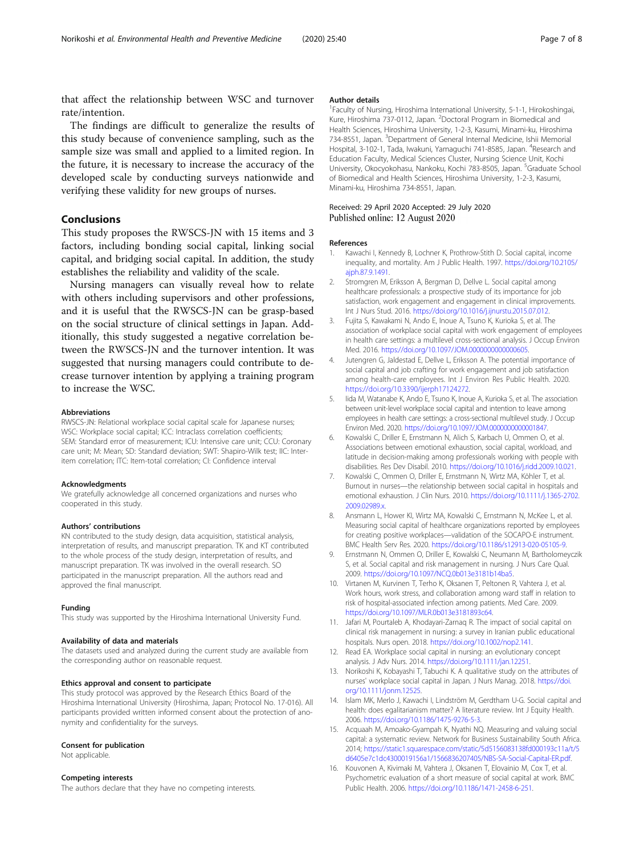<span id="page-6-0"></span>that affect the relationship between WSC and turnover rate/intention.

The findings are difficult to generalize the results of this study because of convenience sampling, such as the sample size was small and applied to a limited region. In the future, it is necessary to increase the accuracy of the developed scale by conducting surveys nationwide and verifying these validity for new groups of nurses.

### Conclusions

This study proposes the RWSCS-JN with 15 items and 3 factors, including bonding social capital, linking social capital, and bridging social capital. In addition, the study establishes the reliability and validity of the scale.

Nursing managers can visually reveal how to relate with others including supervisors and other professions, and it is useful that the RWSCS-JN can be grasp-based on the social structure of clinical settings in Japan. Additionally, this study suggested a negative correlation between the RWSCS-JN and the turnover intention. It was suggested that nursing managers could contribute to decrease turnover intention by applying a training program to increase the WSC.

#### Abbreviations

RWSCS-JN: Relational workplace social capital scale for Japanese nurses; WSC: Workplace social capital; ICC: Intraclass correlation coefficients; SEM: Standard error of measurement; ICU: Intensive care unit; CCU: Coronary care unit; M: Mean; SD: Standard deviation; SWT: Shapiro-Wilk test; IIC: Interitem correlation; ITC: Item-total correlation; CI: Confidence interval

#### Acknowledgments

We gratefully acknowledge all concerned organizations and nurses who cooperated in this study.

#### Authors' contributions

KN contributed to the study design, data acquisition, statistical analysis, interpretation of results, and manuscript preparation. TK and KT contributed to the whole process of the study design, interpretation of results, and manuscript preparation. TK was involved in the overall research. SO participated in the manuscript preparation. All the authors read and approved the final manuscript.

#### Funding

This study was supported by the Hiroshima International University Fund.

#### Availability of data and materials

The datasets used and analyzed during the current study are available from the corresponding author on reasonable request.

#### Ethics approval and consent to participate

This study protocol was approved by the Research Ethics Board of the Hiroshima International University (Hiroshima, Japan; Protocol No. 17-016). All participants provided written informed consent about the protection of anonymity and confidentiality for the surveys.

#### Consent for publication

Not applicable.

#### Competing interests

The authors declare that they have no competing interests.

#### Author details

<sup>1</sup> Faculty of Nursing, Hiroshima International University, 5-1-1, Hirokoshingai, Kure, Hiroshima 737-0112, Japan. <sup>2</sup>Doctoral Program in Biomedical and Health Sciences, Hiroshima University, 1-2-3, Kasumi, Minami-ku, Hiroshima 734-8551, Japan. <sup>3</sup>Department of General Internal Medicine, Ishii Memorial Hospital, 3-102-1, Tada, Iwakuni, Yamaguchi 741-8585, Japan. <sup>4</sup>Research and Education Faculty, Medical Sciences Cluster, Nursing Science Unit, Kochi University, Okocyokohasu, Nankoku, Kochi 783-8505, Japan. <sup>5</sup>Graduate School of Biomedical and Health Sciences, Hiroshima University, 1-2-3, Kasumi, Minami-ku, Hiroshima 734-8551, Japan.

#### Received: 29 April 2020 Accepted: 29 July 2020 Published online: 12 August 2020

#### References

- 1. Kawachi I, Kennedy B, Lochner K, Prothrow-Stith D. Social capital, income inequality, and mortality. Am J Public Health. 1997. [https://doi.org/10.2105/](https://doi.org/10.2105/ajph.87.9.1491) [ajph.87.9.1491](https://doi.org/10.2105/ajph.87.9.1491).
- 2. Stromgren M, Eriksson A, Bergman D, Dellve L. Social capital among healthcare professionals: a prospective study of its importance for job satisfaction, work engagement and engagement in clinical improvements. Int J Nurs Stud. 2016. <https://doi.org/10.1016/j.ijnurstu.2015.07.012>.
- 3. Fujita S, Kawakami N, Ando E, Inoue A, Tsuno K, Kurioka S, et al. The association of workplace social capital with work engagement of employees in health care settings: a multilevel cross-sectional analysis. J Occup Environ Med. 2016. <https://doi.org/10.1097/JOM.0000000000000605>.
- 4. Jutengren G, Jaldestad E, Dellve L, Eriksson A. The potential importance of social capital and job crafting for work engagement and job satisfaction among health-care employees. Int J Environ Res Public Health. 2020. [https://doi.org/10.3390/ijerph17124272.](https://doi.org/10.3390/ijerph17124272)
- 5. Iida M, Watanabe K, Ando E, Tsuno K, Inoue A, Kurioka S, et al. The association between unit-level workplace social capital and intention to leave among employees in health care settings: a cross-sectional multilevel study. J Occup Environ Med. 2020. [https://doi.org/10.1097/JOM.0000000000001847.](https://doi.org/10.1097/JOM.0000000000001847)
- Kowalski C, Driller E, Ernstmann N, Alich S, Karbach U, Ommen O, et al. Associations between emotional exhaustion, social capital, workload, and latitude in decision-making among professionals working with people with disabilities. Res Dev Disabil. 2010. [https://doi.org/10.1016/j.ridd.2009.10.021.](https://doi.org/10.1016/j.ridd.2009.10.021)
- 7. Kowalski C, Ommen O, Driller E, Ernstmann N, Wirtz MA, Köhler T, et al. Burnout in nurses—the relationship between social capital in hospitals and emotional exhaustion. J Clin Nurs. 2010. [https://doi.org/10.1111/j.1365-2702.](https://doi.org/10.1111/j.1365-2702.2009.02989.x) [2009.02989.x.](https://doi.org/10.1111/j.1365-2702.2009.02989.x)
- 8. Ansmann L, Hower KI, Wirtz MA, Kowalski C, Ernstmann N, McKee L, et al. Measuring social capital of healthcare organizations reported by employees for creating positive workplaces—validation of the SOCAPO-E instrument. BMC Health Serv Res. 2020. <https://doi.org/10.1186/s12913-020-05105-9>.
- 9. Ernstmann N, Ommen O, Driller E, Kowalski C, Neumann M, Bartholomeyczik S, et al. Social capital and risk management in nursing. J Nurs Care Qual. 2009. <https://doi.org/10.1097/NCQ.0b013e3181b14ba5>.
- 10. Virtanen M, Kurvinen T, Terho K, Oksanen T, Peltonen R, Vahtera J, et al. Work hours, work stress, and collaboration among ward staff in relation to risk of hospital-associated infection among patients. Med Care. 2009. <https://doi.org/10.1097/MLR.0b013e3181893c64>.
- 11. Jafari M, Pourtaleb A, Khodayari-Zarnaq R. The impact of social capital on clinical risk management in nursing: a survey in Iranian public educational hospitals. Nurs open. 2018. [https://doi.org/10.1002/nop2.141.](https://doi.org/10.1002/nop2.141)
- 12. Read EA. Workplace social capital in nursing: an evolutionary concept analysis. J Adv Nurs. 2014. [https://doi.org/10.1111/jan.12251.](https://doi.org/10.1111/jan.12251)
- 13. Norikoshi K, Kobayashi T, Tabuchi K. A qualitative study on the attributes of nurses' workplace social capital in Japan. J Nurs Manag. 2018. [https://doi.](https://doi.org/10.1111/jonm.12525) [org/10.1111/jonm.12525](https://doi.org/10.1111/jonm.12525).
- 14. Islam MK, Merlo J, Kawachi I, Lindström M, Gerdtham U-G. Social capital and health: does egalitarianism matter? A literature review. Int J Equity Health. 2006. <https://doi.org/10.1186/1475-9276-5-3>.
- 15. Acquaah M, Amoako-Gyampah K, Nyathi NQ. Measuring and valuing social capital: a systematic review. Network for Business Sustainability South Africa. 2014; [https://static1.squarespace.com/static/5d5156083138fd000193c11a/t/5](https://static1.squarespace.com/static/5d5156083138fd000193c11a/t/5d6405e7c1dc4300019156a1/1566836207405/NBS-SA-Social-Capital-ER.pdf) [d6405e7c1dc4300019156a1/1566836207405/NBS-SA-Social-Capital-ER.pdf.](https://static1.squarespace.com/static/5d5156083138fd000193c11a/t/5d6405e7c1dc4300019156a1/1566836207405/NBS-SA-Social-Capital-ER.pdf)
- 16. Kouvonen A, Kivimaki M, Vahtera J, Oksanen T, Elovainio M, Cox T, et al. Psychometric evaluation of a short measure of social capital at work. BMC Public Health. 2006. <https://doi.org/10.1186/1471-2458-6-251>.